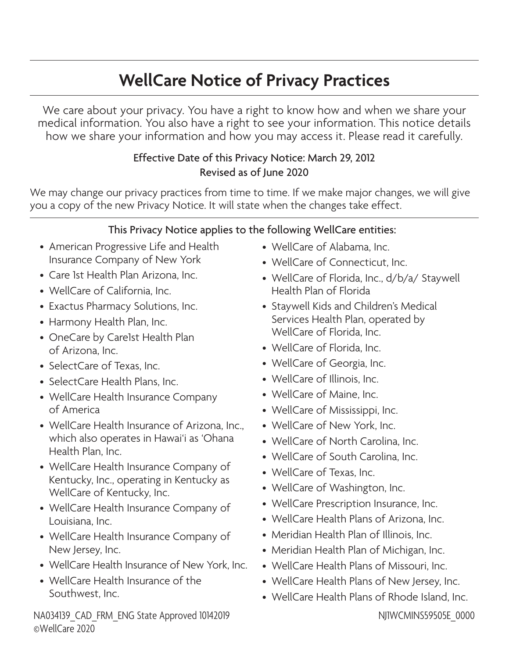# **WellCare Notice of Privacy Practices**

We care about your privacy. You have a right to know how and when we share your medical information. You also have a right to see your information. This notice details how we share your information and how you may access it. Please read it carefully.

# Effective Date of this Privacy Notice: March 29, 2012 Revised as of June 2020

We may change our privacy practices from time to time. If we make major changes, we will give you a copy of the new Privacy Notice. It will state when the changes take effect.

# This Privacy Notice applies to the following WellCare entities:

- American Progressive Life and Health Insurance Company of New York
- Care 1st Health Plan Arizona, Inc.
- WellCare of California, Inc.
- Exactus Pharmacy Solutions, Inc.
- Harmony Health Plan, Inc.
- OneCare by Care1st Health Plan of Arizona, Inc.
- SelectCare of Texas, Inc.
- SelectCare Health Plans, Inc.
- WellCare Health Insurance Company of America
- WellCare Health Insurance of Arizona, Inc., which also operates in Hawai'i as 'Ohana Health Plan, Inc.
- WellCare Health Insurance Company of Kentucky, Inc., operating in Kentucky as WellCare of Kentucky, Inc.
- WellCare Health Insurance Company of Louisiana, Inc.
- WellCare Health Insurance Company of New Jersey, Inc.
- WellCare Health Insurance of New York, Inc.
- WellCare Health Insurance of the Southwest, Inc.

NA034139 CAD FRM ENG State Approved 10142019 ©WellCare 2020

- WellCare of Alabama, Inc.
- WellCare of Connecticut, Inc.
- WellCare of Florida, Inc., d/b/a/ Staywell Health Plan of Florida
- Staywell Kids and Children's Medical Services Health Plan, operated by WellCare of Florida, Inc.
- WellCare of Florida, Inc.
- WellCare of Georgia, Inc.
- WellCare of Illinois, Inc.
- WellCare of Maine, Inc.
- WellCare of Mississippi, Inc.
- WellCare of New York, Inc.
- WellCare of North Carolina, Inc.
- WellCare of South Carolina, Inc.
- WellCare of Texas, Inc.
- WellCare of Washington, Inc.
- WellCare Prescription Insurance, Inc.
- WellCare Health Plans of Arizona, Inc.
- Meridian Health Plan of Illinois, Inc.
- Meridian Health Plan of Michigan, Inc.
- WellCare Health Plans of Missouri, Inc.
- WellCare Health Plans of New Jersey, Inc.
- WellCare Health Plans of Rhode Island, Inc.

NJ1WCMINS59505E\_0000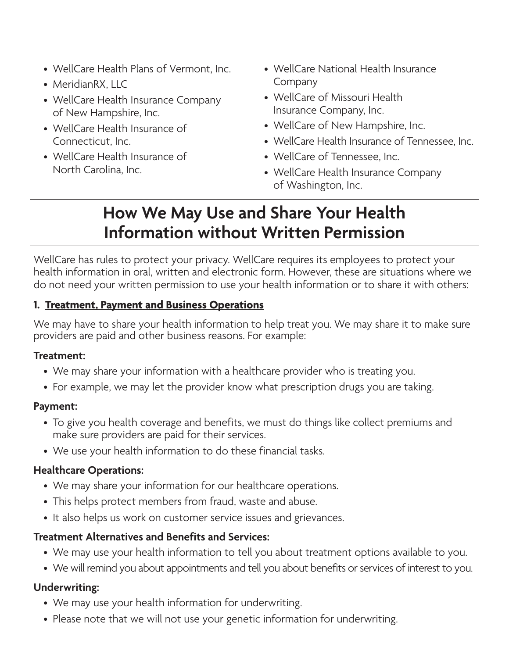- WellCare Health Plans of Vermont, Inc.
- MeridianRX, LLC
- WellCare Health Insurance Company of New Hampshire, Inc.
- WellCare Health Insurance of Connecticut, Inc.
- WellCare Health Insurance of North Carolina, Inc.
- WellCare National Health Insurance Company
- WellCare of Missouri Health Insurance Company, Inc.
- WellCare of New Hampshire, Inc.
- WellCare Health Insurance of Tennessee, Inc.
- WellCare of Tennessee, Inc.
- WellCare Health Insurance Company of Washington, Inc.

# **How We May Use and Share Your Health Information without Written Permission**

WellCare has rules to protect your privacy. WellCare requires its employees to protect your health information in oral, written and electronic form. However, these are situations where we do not need your written permission to use your health information or to share it with others:

# **1. Treatment, Payment and Business Operations**

We may have to share your health information to help treat you. We may share it to make sure providers are paid and other business reasons. For example:

#### **Treatment:**

- We may share your information with a healthcare provider who is treating you.
- For example, we may let the provider know what prescription drugs you are taking.

#### **Payment:**

- To give you health coverage and benefits, we must do things like collect premiums and make sure providers are paid for their services.
- We use your health information to do these financial tasks.

#### **Healthcare Operations:**

- We may share your information for our healthcare operations.
- This helps protect members from fraud, waste and abuse.
- It also helps us work on customer service issues and grievances.

#### **Treatment Alternatives and Benefits and Services:**

- We may use your health information to tell you about treatment options available to you.
- We will remind you about appointments and tell you about benefits or services of interest to you.

#### **Underwriting:**

- We may use your health information for underwriting.
- Please note that we will not use your genetic information for underwriting.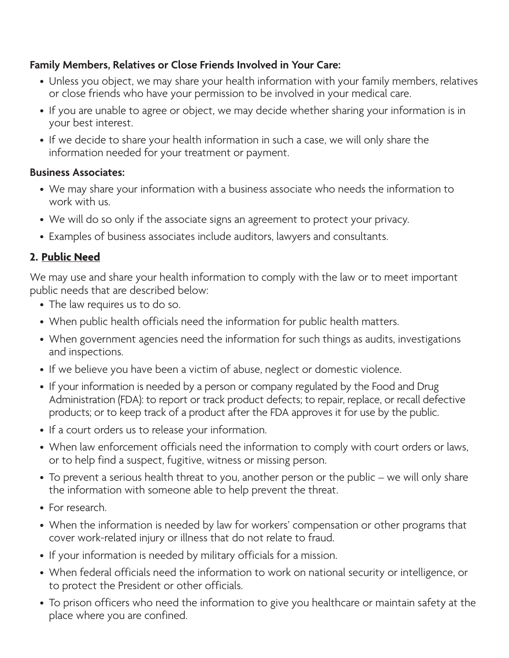# **Family Members, Relatives or Close Friends Involved in Your Care:**

- Unless you object, we may share your health information with your family members, relatives or close friends who have your permission to be involved in your medical care.
- If you are unable to agree or object, we may decide whether sharing your information is in your best interest.
- If we decide to share your health information in such a case, we will only share the information needed for your treatment or payment.

#### **Business Associates:**

- We may share your information with a business associate who needs the information to work with us.
- We will do so only if the associate signs an agreement to protect your privacy.
- Examples of business associates include auditors, lawyers and consultants.

# **2. Public Need**

We may use and share your health information to comply with the law or to meet important public needs that are described below:

- The law requires us to do so.
- When public health officials need the information for public health matters.
- When government agencies need the information for such things as audits, investigations and inspections.
- If we believe you have been a victim of abuse, neglect or domestic violence.
- If your information is needed by a person or company regulated by the Food and Drug Administration (FDA): to report or track product defects; to repair, replace, or recall defective products; or to keep track of a product after the FDA approves it for use by the public.
- If a court orders us to release your information.
- When law enforcement officials need the information to comply with court orders or laws, or to help find a suspect, fugitive, witness or missing person.
- To prevent a serious health threat to you, another person or the public we will only share the information with someone able to help prevent the threat.
- For research.
- When the information is needed by law for workers' compensation or other programs that cover work-related injury or illness that do not relate to fraud.
- If your information is needed by military officials for a mission.
- When federal officials need the information to work on national security or intelligence, or to protect the President or other officials.
- To prison officers who need the information to give you healthcare or maintain safety at the place where you are confined.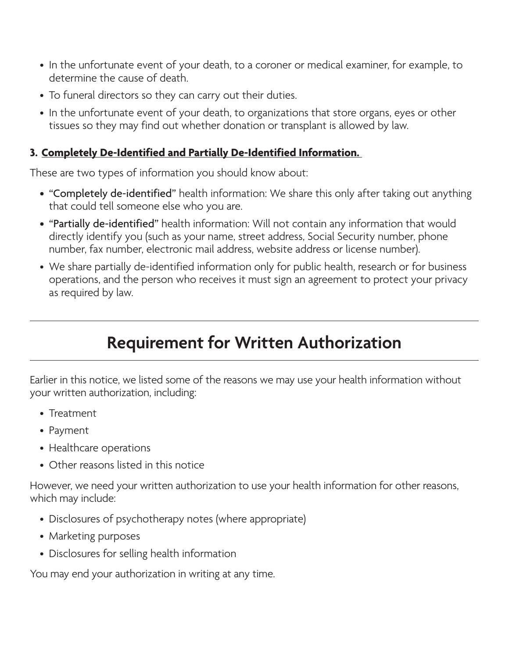- In the unfortunate event of your death, to a coroner or medical examiner, for example, to determine the cause of death.
- To funeral directors so they can carry out their duties.
- In the unfortunate event of your death, to organizations that store organs, eyes or other tissues so they may find out whether donation or transplant is allowed by law.

### **3. Completely De-Identified and Partially De-Identified Information.**

These are two types of information you should know about:

- "Completely de-identified" health information: We share this only after taking out anything that could tell someone else who you are.
- "Partially de-identified" health information: Will not contain any information that would directly identify you (such as your name, street address, Social Security number, phone number, fax number, electronic mail address, website address or license number).
- We share partially de-identified information only for public health, research or for business operations, and the person who receives it must sign an agreement to protect your privacy as required by law.

# **Requirement for Written Authorization**

Earlier in this notice, we listed some of the reasons we may use your health information without your written authorization, including:

- Treatment
- Payment
- Healthcare operations
- Other reasons listed in this notice

However, we need your written authorization to use your health information for other reasons, which may include:

- Disclosures of psychotherapy notes (where appropriate)
- Marketing purposes
- Disclosures for selling health information

You may end your authorization in writing at any time.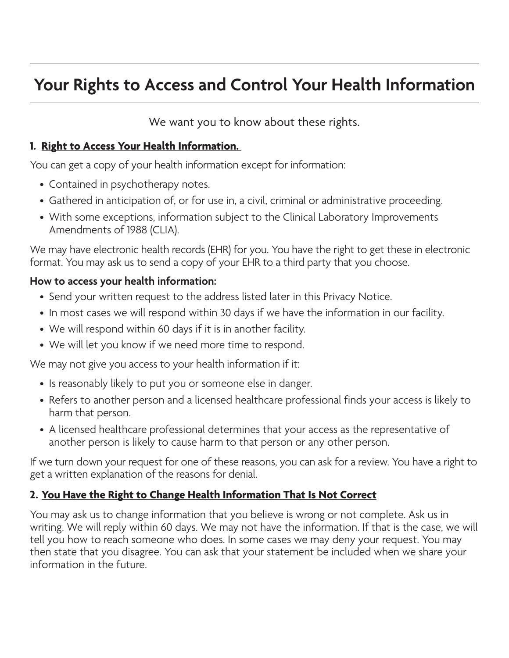# **Your Rights to Access and Control Your Health Information**

We want you to know about these rights.

#### 1. Right to Access Your Health Information.

You can get a copy of your health information except for information:

- Contained in psychotherapy notes.
- Gathered in anticipation of, or for use in, a civil, criminal or administrative proceeding.
- With some exceptions, information subject to the Clinical Laboratory Improvements Amendments of 1988 (CLIA).

We may have electronic health records (EHR) for you. You have the right to get these in electronic format. You may ask us to send a copy of your EHR to a third party that you choose.

# **How to access your health information:**

- Send your written request to the address listed later in this Privacy Notice.
- In most cases we will respond within 30 days if we have the information in our facility.
- We will respond within 60 days if it is in another facility.
- We will let you know if we need more time to respond.

We may not give you access to your health information if it:

- Is reasonably likely to put you or someone else in danger.
- Refers to another person and a licensed healthcare professional finds your access is likely to harm that person.
- A licensed healthcare professional determines that your access as the representative of another person is likely to cause harm to that person or any other person.

If we turn down your request for one of these reasons, you can ask for a review. You have a right to get a written explanation of the reasons for denial.

# **2. You Have the Right to Change Health Information That Is Not Correct**

You may ask us to change information that you believe is wrong or not complete. Ask us in writing. We will reply within 60 days. We may not have the information. If that is the case, we will tell you how to reach someone who does. In some cases we may deny your request. You may then state that you disagree. You can ask that your statement be included when we share your information in the future.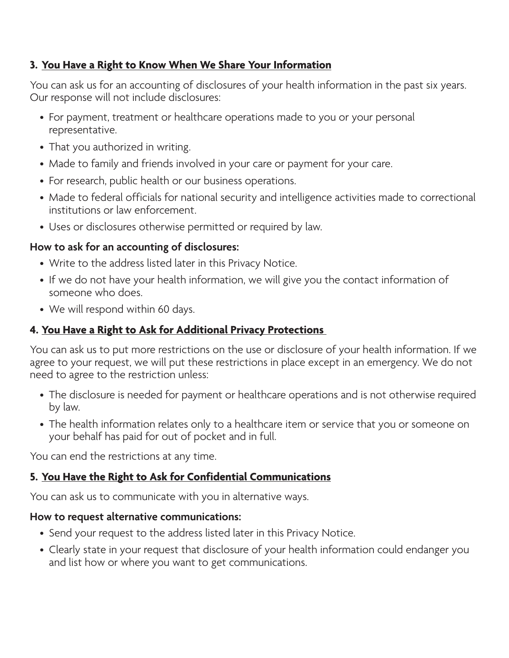### **3. You Have a Right to Know When We Share Your Information**

You can ask us for an accounting of disclosures of your health information in the past six years. Our response will not include disclosures:

- For payment, treatment or healthcare operations made to you or your personal representative.
- That you authorized in writing.
- Made to family and friends involved in your care or payment for your care.
- For research, public health or our business operations.
- Made to federal officials for national security and intelligence activities made to correctional institutions or law enforcement.
- Uses or disclosures otherwise permitted or required by law.

#### **How to ask for an accounting of disclosures:**

- Write to the address listed later in this Privacy Notice.
- If we do not have your health information, we will give you the contact information of someone who does.
- We will respond within 60 days.

### **4. You Have a Right to Ask for Additional Privacy Protections**

You can ask us to put more restrictions on the use or disclosure of your health information. If we agree to your request, we will put these restrictions in place except in an emergency. We do not need to agree to the restriction unless:

- The disclosure is needed for payment or healthcare operations and is not otherwise required by law.
- The health information relates only to a healthcare item or service that you or someone on your behalf has paid for out of pocket and in full.

You can end the restrictions at any time.

#### **5. You Have the Right to Ask for Confidential Communications**

You can ask us to communicate with you in alternative ways.

#### **How to request alternative communications:**

- Send your request to the address listed later in this Privacy Notice.
- Clearly state in your request that disclosure of your health information could endanger you and list how or where you want to get communications.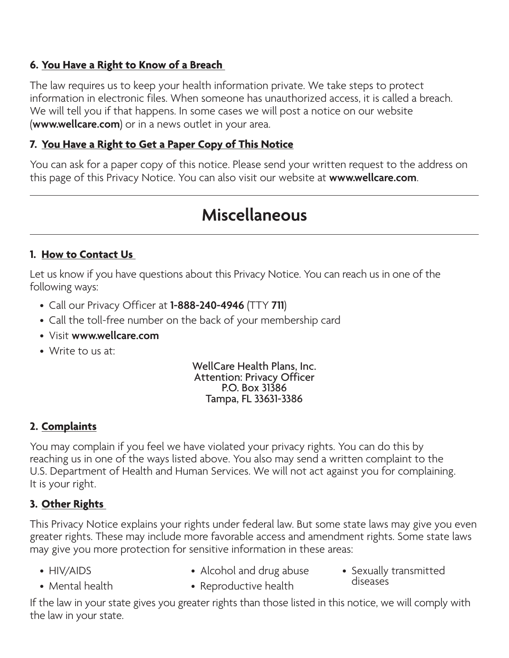# **6.** You Have a Right to Know of a Breach

The law requires us to keep your health information private. We take steps to protect information in electronic files. When someone has unauthorized access, it is called a breach. We will tell you if that happens. In some cases we will post a notice on our website (**<www.wellcare.com>**) or in a news outlet in your area.

### **7. You Have a Right to Get a Paper Copy of This Notice**

You can ask for a paper copy of this notice. Please send your written request to the address on this page of this Privacy Notice. You can also visit our website at **<www.wellcare.com>**.

# **Miscellaneous**

#### **1. How to Contact Us**

Let us know if you have questions about this Privacy Notice. You can reach us in one of the following ways:

- Call our Privacy Officer at **1-888-240-4946** (TTY **711**)
- Call the toll-free number on the back of your membership card
- Visit **<www.wellcare.com>**
- Write to us at:

#### WellCare Health Plans, Inc. Attention: Privacy Officer P.O. Box 31386 Tampa, FL 33631-3386

# **2. Complaints**

You may complain if you feel we have violated your privacy rights. You can do this by reaching us in one of the ways listed above. You also may send a written complaint to the U.S. Department of Health and Human Services. We will not act against you for complaining. It is your right.

# **3.** Other Rights

This Privacy Notice explains your rights under federal law. But some state laws may give you even greater rights. These may include more favorable access and amendment rights. Some state laws may give you more protection for sensitive information in these areas:

- 
- HIV/AIDS Alcohol and drug abuse
- Mental health Reproductive health diseases • Sexually transmitted

If the law in your state gives you greater rights than those listed in this notice, we will comply with the law in your state.